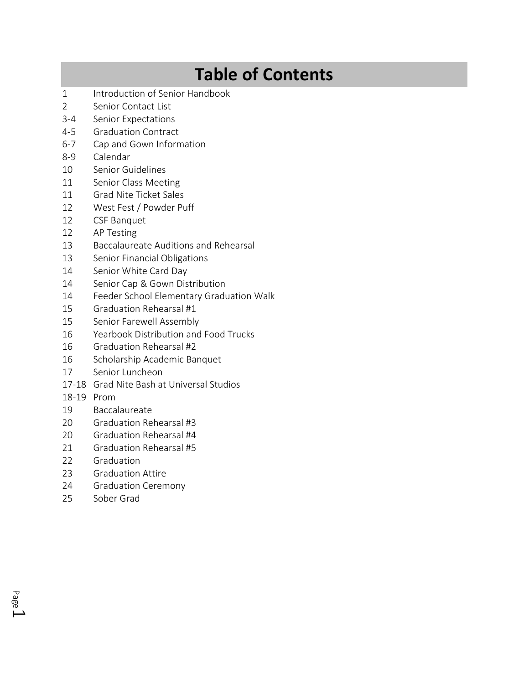## **Table of Contents**

- 1 Introduction of Senior Handbook
- 2 Senior Contact List
- 3-4 Senior Expectations
- 4-5 Graduation Contract
- 6-7 Cap and Gown Information
- 8-9 Calendar
- 10 Senior Guidelines
- 11 Senior Class Meeting
- 11 Grad Nite Ticket Sales
- 12 West Fest / Powder Puff
- 12 CSF Banquet
- 12 AP Testing
- 13 Baccalaureate Auditions and Rehearsal
- 13 Senior Financial Obligations
- 14 Senior White Card Day
- 14 Senior Cap & Gown Distribution
- 14 Feeder School Elementary Graduation Walk
- 15 Graduation Rehearsal #1
- 15 Senior Farewell Assembly
- 16 Yearbook Distribution and Food Trucks
- 16 Graduation Rehearsal #2
- 16 Scholarship Academic Banquet
- 17 Senior Luncheon
- 17-18 Grad Nite Bash at Universal Studios
- 18-19 Prom
- 19 Baccalaureate
- 20 Graduation Rehearsal #3
- 20 Graduation Rehearsal #4
- 21 Graduation Rehearsal #5
- 22 Graduation
- 23 Graduation Attire
- 24 Graduation Ceremony
- 25 Sober Grad

Page  $\overline{\phantom{0}}$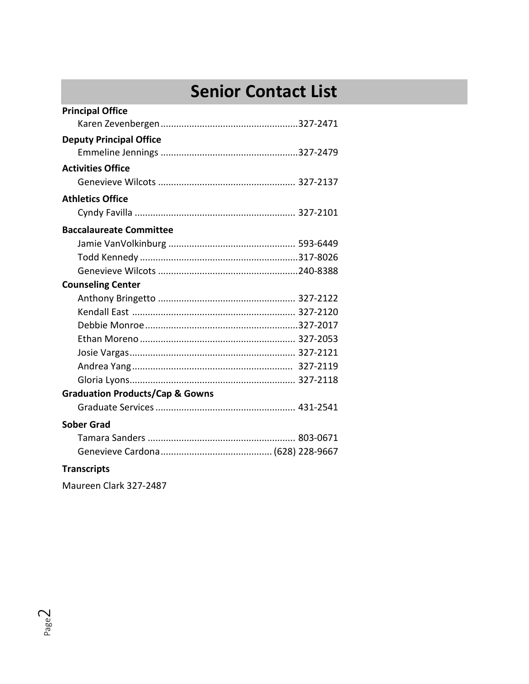## **Senior Contact List**

| <b>Principal Office</b>                    |  |
|--------------------------------------------|--|
|                                            |  |
| <b>Deputy Principal Office</b>             |  |
|                                            |  |
| <b>Activities Office</b>                   |  |
|                                            |  |
| <b>Athletics Office</b>                    |  |
|                                            |  |
| <b>Baccalaureate Committee</b>             |  |
|                                            |  |
|                                            |  |
|                                            |  |
| <b>Counseling Center</b>                   |  |
|                                            |  |
|                                            |  |
|                                            |  |
|                                            |  |
|                                            |  |
|                                            |  |
|                                            |  |
| <b>Graduation Products/Cap &amp; Gowns</b> |  |
|                                            |  |
| <b>Sober Grad</b>                          |  |
|                                            |  |
|                                            |  |
| <b>Transcripts</b>                         |  |

Maureen Clark 327-2487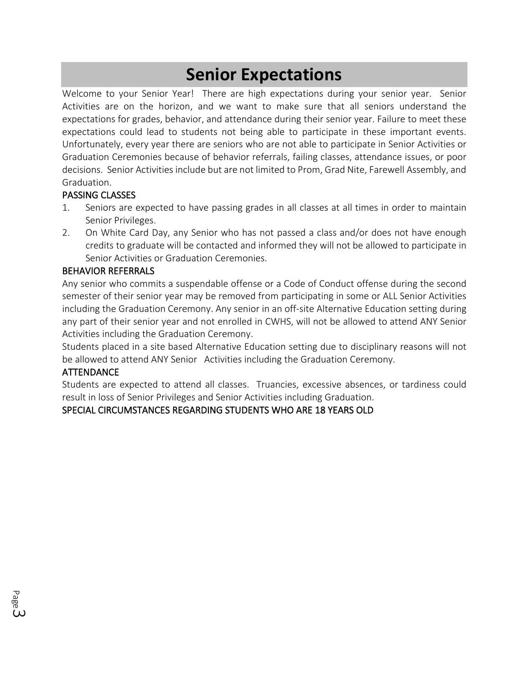### **Senior Expectations**

Welcome to your Senior Year! There are high expectations during your senior year. Senior Activities are on the horizon, and we want to make sure that all seniors understand the expectations for grades, behavior, and attendance during their senior year. Failure to meet these expectations could lead to students not being able to participate in these important events. Unfortunately, every year there are seniors who are not able to participate in Senior Activities or Graduation Ceremonies because of behavior referrals, failing classes, attendance issues, or poor decisions. Senior Activities include but are not limited to Prom, Grad Nite, Farewell Assembly, and Graduation.

#### PASSING CLASSES

- 1. Seniors are expected to have passing grades in all classes at all times in order to maintain Senior Privileges.
- 2. On White Card Day, any Senior who has not passed a class and/or does not have enough credits to graduate will be contacted and informed they will not be allowed to participate in Senior Activities or Graduation Ceremonies.

#### BEHAVIOR REFERRALS

Any senior who commits a suspendable offense or a Code of Conduct offense during the second semester of their senior year may be removed from participating in some or ALL Senior Activities including the Graduation Ceremony. Any senior in an off-site Alternative Education setting during any part of their senior year and not enrolled in CWHS, will not be allowed to attend ANY Senior Activities including the Graduation Ceremony.

Students placed in a site based Alternative Education setting due to disciplinary reasons will not be allowed to attend ANY Senior Activities including the Graduation Ceremony.

#### ATTENDANCE

Page ယ Students are expected to attend all classes. Truancies, excessive absences, or tardiness could result in loss of Senior Privileges and Senior Activities including Graduation.

#### SPECIAL CIRCUMSTANCES REGARDING STUDENTS WHO ARE 18 YEARS OLD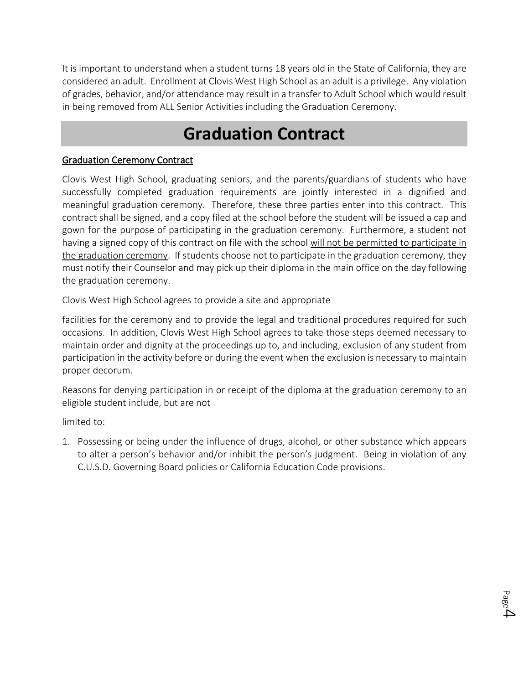It is important to understand when a student turns 18 years old in the State of California, they are considered an adult. Enrollment at Clovis West High School as an adult is a privilege. Any violation of grades, behavior, and/or attendance may result in a transfer to Adult School which would result in being removed from ALL Senior Activities including the Graduation Ceremony.

## **Graduation Contract**

#### Graduation Ceremony Contract

Clovis West High School, graduating seniors, and the parents/guardians of students who have successfully completed graduation requirements are jointly interested in a dignified and meaningful graduation ceremony. Therefore, these three parties enter into this contract. This contract shall be signed, and a copy filed at the school before the student will be issued a cap and gown for the purpose of participating in the graduation ceremony. Furthermore, a student not having a signed copy of this contract on file with the school will not be permitted to participate in the graduation ceremony. If students choose not to participate in the graduation ceremony, they must notify their Counselor and may pick up their diploma in the main office on the day following the graduation ceremony.

Clovis West High School agrees to provide a site and appropriate

facilities for the ceremony and to provide the legal and traditional procedures required for such occasions. In addition, Clovis West High School agrees to take those steps deemed necessary to maintain order and dignity at the proceedings up to, and including, exclusion of any student from participation in the activity before or during the event when the exclusion is necessary to maintain proper decorum.

Reasons for denying participation in or receipt of the diploma at the graduation ceremony to an eligible student include, but are not

limited to:

1. Possessing or being under the influence of drugs, alcohol, or other substance which appears to alter a person's behavior and/or inhibit the person's judgment. Being in violation of any C.U.S.D. Governing Board policies or California Education Code provisions.

 $_{\tiny{\text{Page}}4}$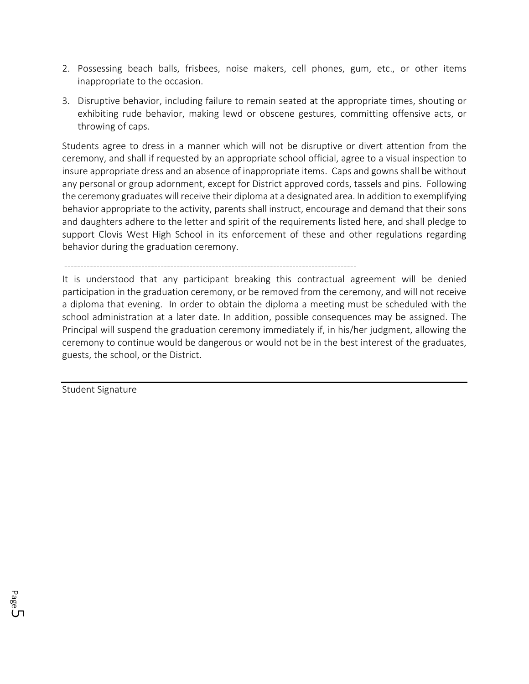- 2. Possessing beach balls, frisbees, noise makers, cell phones, gum, etc., or other items inappropriate to the occasion.
- 3. Disruptive behavior, including failure to remain seated at the appropriate times, shouting or exhibiting rude behavior, making lewd or obscene gestures, committing offensive acts, or throwing of caps.

Students agree to dress in a manner which will not be disruptive or divert attention from the ceremony, and shall if requested by an appropriate school official, agree to a visual inspection to insure appropriate dress and an absence of inappropriate items. Caps and gowns shall be without any personal or group adornment, except for District approved cords, tassels and pins. Following the ceremony graduates will receive their diploma at a designated area. In addition to exemplifying behavior appropriate to the activity, parents shall instruct, encourage and demand that their sons and daughters adhere to the letter and spirit of the requirements listed here, and shall pledge to support Clovis West High School in its enforcement of these and other regulations regarding behavior during the graduation ceremony.

-------------------------------------------------------------------------------------------

It is understood that any participant breaking this contractual agreement will be denied participation in the graduation ceremony, or be removed from the ceremony, and will not receive a diploma that evening. In order to obtain the diploma a meeting must be scheduled with the school administration at a later date. In addition, possible consequences may be assigned. The Principal will suspend the graduation ceremony immediately if, in his/her judgment, allowing the ceremony to continue would be dangerous or would not be in the best interest of the graduates, guests, the school, or the District.

Student Signature

Page س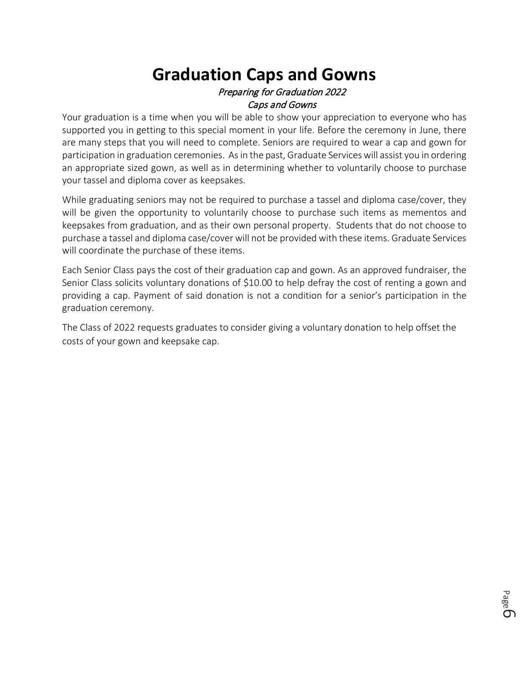### **Graduation Caps and Gowns** Preparing for Graduation 2022 Caps and Gowns

Your graduation is a time when you will be able to show your appreciation to everyone who has supported you in getting to this special moment in your life. Before the ceremony in June, there are many steps that you will need to complete. Seniors are required to wear a cap and gown for participation in graduation ceremonies. As in the past, Graduate Services will assist you in ordering an appropriate sized gown, as well as in determining whether to voluntarily choose to purchase your tassel and diploma cover as keepsakes.

While graduating seniors may not be required to purchase a tassel and diploma case/cover, they will be given the opportunity to voluntarily choose to purchase such items as mementos and keepsakes from graduation, and as their own personal property. Students that do not choose to purchase a tassel and diploma case/cover will not be provided with these items. Graduate Services will coordinate the purchase of these items.

Each Senior Class pays the cost of their graduation cap and gown. As an approved fundraiser, the Senior Class solicits voluntary donations of \$10.00 to help defray the cost of renting a gown and providing a cap. Payment of said donation is not a condition for a senior's participation in the graduation ceremony.

The Class of 2022 requests graduates to consider giving a voluntary donation to help offset the costs of your gown and keepsake cap.

Page თ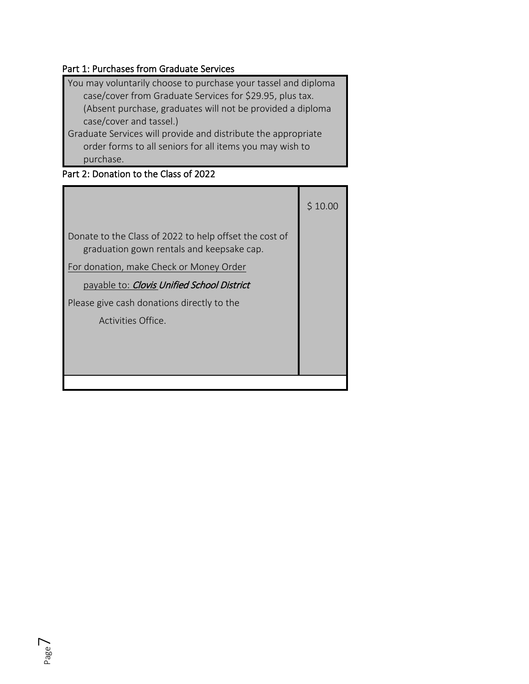### Part 1: Purchases from Graduate Services

| You may voluntarily choose to purchase your tassel and diploma |
|----------------------------------------------------------------|
| case/cover from Graduate Services for \$29.95, plus tax.       |
| (Absent purchase, graduates will not be provided a diploma     |
| case/cover and tassel.)                                        |
| Graduate Services will provide and distribute the appropriate  |

order forms to all seniors for all items you may wish to purchase.

### Part 2: Donation to the Class of 2022

|                                                                                                     | \$10.00 |
|-----------------------------------------------------------------------------------------------------|---------|
| Donate to the Class of 2022 to help offset the cost of<br>graduation gown rentals and keepsake cap. |         |
| For donation, make Check or Money Order                                                             |         |
| payable to: Clovis Unified School District                                                          |         |
| Please give cash donations directly to the                                                          |         |
| Activities Office.                                                                                  |         |
|                                                                                                     |         |
|                                                                                                     |         |
|                                                                                                     |         |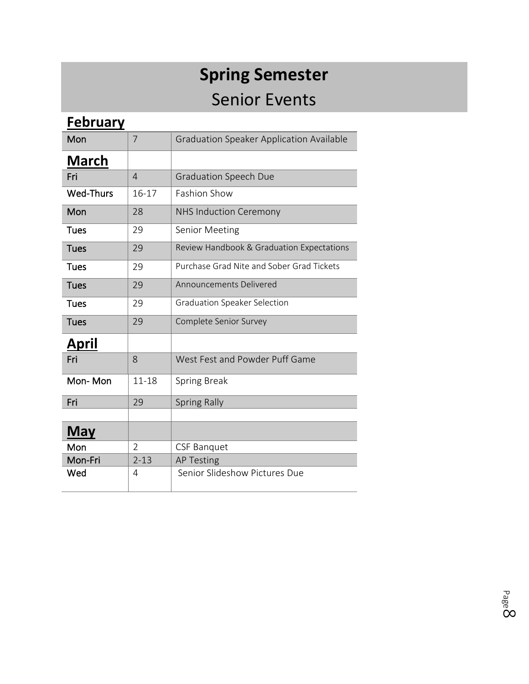# **Spring Semester** Senior Events

| <b>February</b>  |                |                                                 |
|------------------|----------------|-------------------------------------------------|
| Mon              | 7              | <b>Graduation Speaker Application Available</b> |
| <b>March</b>     |                |                                                 |
| Fri              | $\overline{4}$ | <b>Graduation Speech Due</b>                    |
| <b>Wed-Thurs</b> | 16-17          | <b>Fashion Show</b>                             |
| Mon              | 28             | <b>NHS Induction Ceremony</b>                   |
| <b>Tues</b>      | 29             | <b>Senior Meeting</b>                           |
| <b>Tues</b>      | 29             | Review Handbook & Graduation Expectations       |
| <b>Tues</b>      | 29             | Purchase Grad Nite and Sober Grad Tickets       |
| <b>Tues</b>      | 29             | <b>Announcements Delivered</b>                  |
| <b>Tues</b>      | 29             | <b>Graduation Speaker Selection</b>             |
| <b>Tues</b>      | 29             | Complete Senior Survey                          |
| April            |                |                                                 |
| Fri              | 8              | West Fest and Powder Puff Game                  |
| Mon-Mon          | $11 - 18$      | <b>Spring Break</b>                             |
| Fri              | 29             | <b>Spring Rally</b>                             |
|                  |                |                                                 |
| <b>May</b>       |                |                                                 |
| Mon              | 2              | <b>CSF Banquet</b>                              |
| Mon-Fri          | $2 - 13$       | <b>AP Testing</b>                               |
| Wed              | 4              | Senior Slideshow Pictures Due                   |

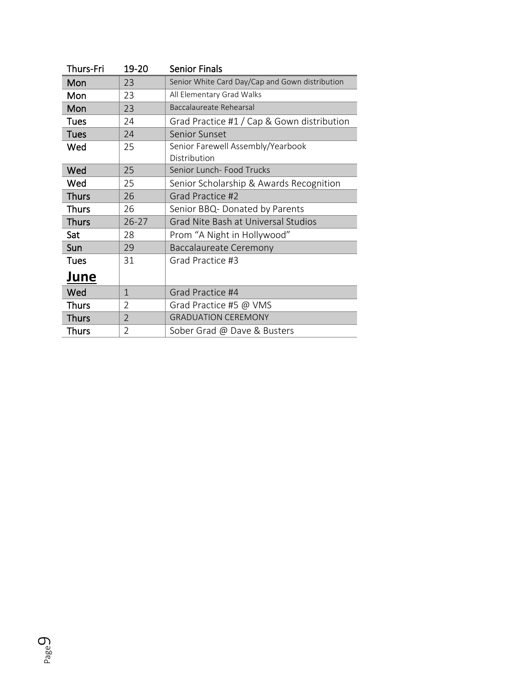| Thurs-Fri    | 19-20          | <b>Senior Finals</b>                            |
|--------------|----------------|-------------------------------------------------|
| Mon          | 23             | Senior White Card Day/Cap and Gown distribution |
| Mon          | 23             | All Elementary Grad Walks                       |
| Mon          | 23             | Baccalaureate Rehearsal                         |
| <b>Tues</b>  | 24             | Grad Practice #1 / Cap & Gown distribution      |
| <b>Tues</b>  | 24             | Senior Sunset                                   |
| Wed          | 25             | Senior Farewell Assembly/Yearbook               |
|              |                | Distribution                                    |
| Wed          | 25             | Senior Lunch- Food Trucks                       |
| Wed          | 25             | Senior Scholarship & Awards Recognition         |
| <b>Thurs</b> | 26             | Grad Practice #2                                |
| <b>Thurs</b> | 26             | Senior BBQ- Donated by Parents                  |
| <b>Thurs</b> | $26 - 27$      | Grad Nite Bash at Universal Studios             |
| Sat          | 28             | Prom "A Night in Hollywood"                     |
| Sun          | 29             | Baccalaureate Ceremony                          |
| <b>Tues</b>  | 31             | Grad Practice #3                                |
| June         |                |                                                 |
| Wed          | $\mathbf 1$    | Grad Practice #4                                |
| <b>Thurs</b> | $\overline{2}$ | Grad Practice #5 @ VMS                          |
| <b>Thurs</b> | $\overline{2}$ | <b>GRADUATION CEREMONY</b>                      |
| <b>Thurs</b> | $\overline{2}$ | Sober Grad @ Dave & Busters                     |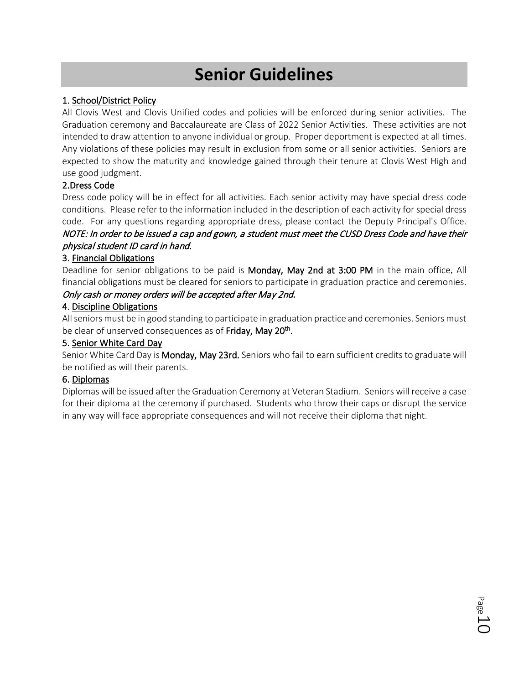## **Senior Guidelines**

#### 1. School/District Policy

All Clovis West and Clovis Unified codes and policies will be enforced during senior activities. The Graduation ceremony and Baccalaureate are Class of 2022 Senior Activities. These activities are not intended to draw attention to anyone individual or group. Proper deportment is expected at all times. Any violations of these policies may result in exclusion from some or all senior activities. Seniors are expected to show the maturity and knowledge gained through their tenure at Clovis West High and use good judgment.

#### 2.Dress Code

Dress code policy will be in effect for all activities. Each senior activity may have special dress code conditions. Please refer to the information included in the description of each activity for special dress code. For any questions regarding appropriate dress, please contact the Deputy Principal's Office. NOTE: In order to be issued a cap and gown, a student must meet the CUSD Dress Code and have their physical student ID card in hand.

#### 3. Financial Obligations

Deadline for senior obligations to be paid is Monday, May 2nd at 3:00 PM in the main office. All financial obligations must be cleared for seniors to participate in graduation practice and ceremonies.

#### Only cash or money orders will be accepted after May 2nd.

#### 4. Discipline Obligations

All seniors must be in good standing to participate in graduation practice and ceremonies. Seniors must be clear of unserved consequences as of Friday, May 20<sup>th</sup>.

#### 5. Senior White Card Day

Senior White Card Day is Monday, May 23rd. Seniors who fail to earn sufficient credits to graduate will be notified as will their parents.

#### 6. Diplomas

Diplomas will be issued after the Graduation Ceremony at Veteran Stadium. Seniors will receive a case for their diploma at the ceremony if purchased. Students who throw their caps or disrupt the service in any way will face appropriate consequences and will not receive their diploma that night.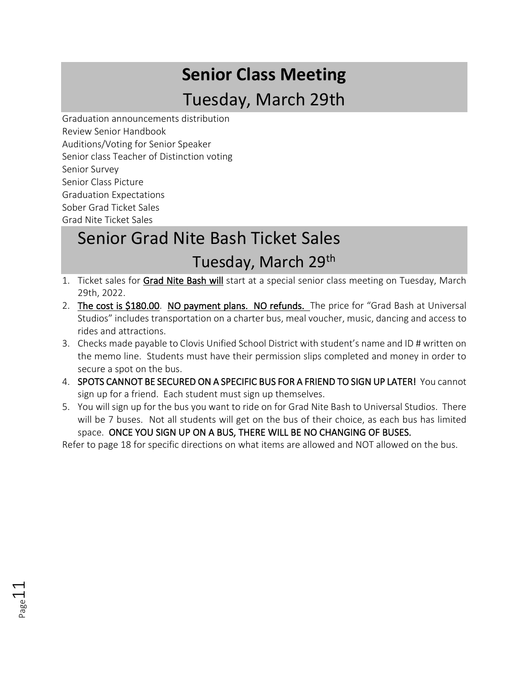# **Senior Class Meeting** Tuesday, March 29th

Graduation announcements distribution Review Senior Handbook Auditions/Voting for Senior Speaker Senior class Teacher of Distinction voting Senior Survey Senior Class Picture Graduation Expectations Sober Grad Ticket Sales Grad Nite Ticket Sales

Page11

## Senior Grad Nite Bash Ticket Sales Tuesday, March 29th

- 1. Ticket sales for Grad Nite Bash will start at a special senior class meeting on Tuesday, March 29th, 2022.
- 2. The cost is \$180.00. NO payment plans. NO refunds. The price for "Grad Bash at Universal Studios" includes transportation on a charter bus, meal voucher, music, dancing and access to rides and attractions.
- 3. Checks made payable to Clovis Unified School District with student's name and ID # written on the memo line. Students must have their permission slips completed and money in order to secure a spot on the bus.
- 4. SPOTS CANNOT BE SECURED ON A SPECIFIC BUS FOR A FRIEND TO SIGN UP LATER! You cannot sign up for a friend. Each student must sign up themselves.
- 5. You will sign up for the bus you want to ride on for Grad Nite Bash to Universal Studios. There will be 7 buses. Not all students will get on the bus of their choice, as each bus has limited space. ONCE YOU SIGN UP ON A BUS, THERE WILL BE NO CHANGING OF BUSES.

Refer to page 18 for specific directions on what items are allowed and NOT allowed on the bus.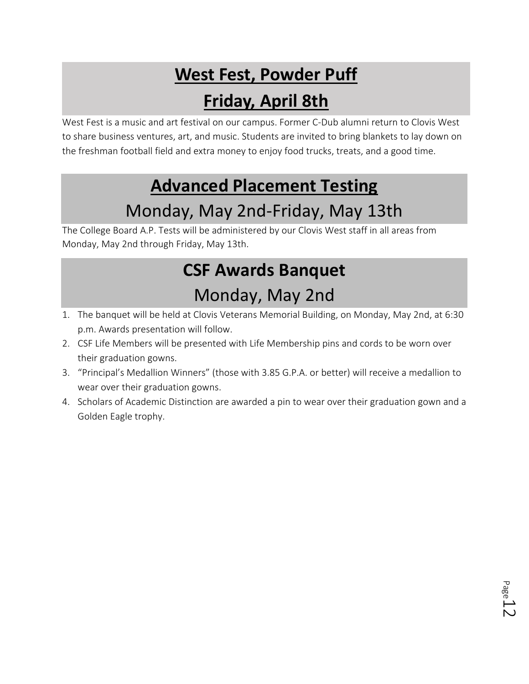## **West Fest, Powder Puff**

## **Friday, April 8th**

West Fest is a music and art festival on our campus. Former C-Dub alumni return to Clovis West to share business ventures, art, and music. Students are invited to bring blankets to lay down on the freshman football field and extra money to enjoy food trucks, treats, and a good time.

## **Advanced Placement Testing**

## Monday, May 2nd-Friday, May 13th

The College Board A.P. Tests will be administered by our Clovis West staff in all areas from Monday, May 2nd through Friday, May 13th.

## **CSF Awards Banquet**

## Monday, May 2nd

- 1. The banquet will be held at Clovis Veterans Memorial Building, on Monday, May 2nd, at 6:30 p.m. Awards presentation will follow.
- 2. CSF Life Members will be presented with Life Membership pins and cords to be worn over their graduation gowns.
- 3. "Principal's Medallion Winners" (those with 3.85 G.P.A. or better) will receive a medallion to wear over their graduation gowns.
- 4. Scholars of Academic Distinction are awarded a pin to wear over their graduation gown and a Golden Eagle trophy.

Page 1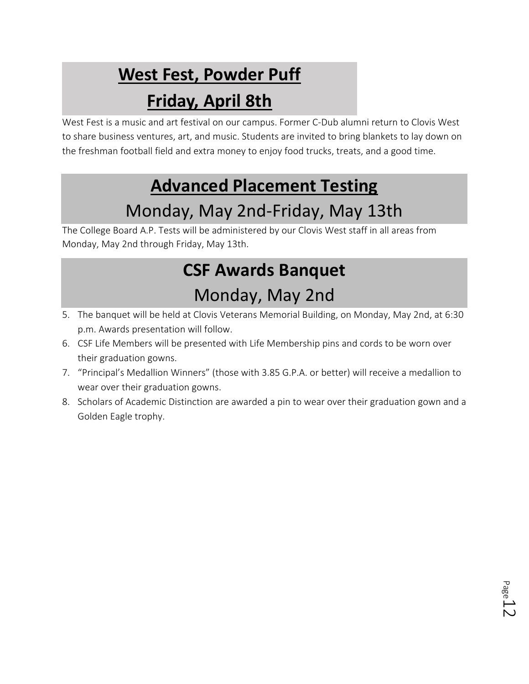# **West Fest, Powder Puff**

## **Friday, April 8th**

West Fest is a music and art festival on our campus. Former C-Dub alumni return to Clovis West to share business ventures, art, and music. Students are invited to bring blankets to lay down on the freshman football field and extra money to enjoy food trucks, treats, and a good time.

## **Advanced Placement Testing**

## Monday, May 2nd-Friday, May 13th

The College Board A.P. Tests will be administered by our Clovis West staff in all areas from Monday, May 2nd through Friday, May 13th.

## **CSF Awards Banquet**

## Monday, May 2nd

- 5. The banquet will be held at Clovis Veterans Memorial Building, on Monday, May 2nd, at 6:30 p.m. Awards presentation will follow.
- 6. CSF Life Members will be presented with Life Membership pins and cords to be worn over their graduation gowns.
- 7. "Principal's Medallion Winners" (those with 3.85 G.P.A. or better) will receive a medallion to wear over their graduation gowns.
- 8. Scholars of Academic Distinction are awarded a pin to wear over their graduation gown and a Golden Eagle trophy.

Page 1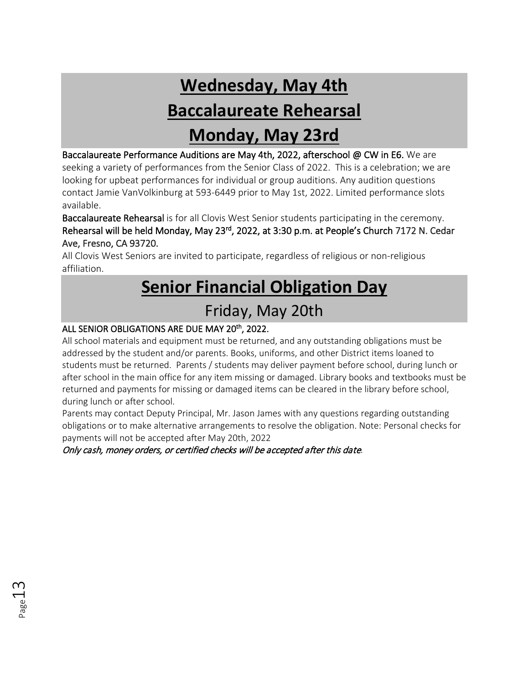## **Wednesday, May 4th Baccalaureate Rehearsal Monday, May 23rd**

Baccalaureate Performance Auditions are May 4th, 2022, afterschool @ CW in E6. We are seeking a variety of performances from the Senior Class of 2022. This is a celebration; we are looking for upbeat performances for individual or group auditions. Any audition questions contact Jamie VanVolkinburg at 593-6449 prior to May 1st, 2022. Limited performance slots available.

Baccalaureate Rehearsal is for all Clovis West Senior students participating in the ceremony. Rehearsal will be held Monday, May 23<sup>rd</sup>, 2022, at 3:30 p.m. at People's Church 7172 N. Cedar Ave, Fresno, CA 93720.

All Clovis West Seniors are invited to participate, regardless of religious or non-religious affiliation.

# **Senior Financial Obligation Day**

### Friday, May 20th

#### ALL SENIOR OBLIGATIONS ARE DUE MAY 20th, 2022.

All school materials and equipment must be returned, and any outstanding obligations must be addressed by the student and/or parents. Books, uniforms, and other District items loaned to students must be returned. Parents / students may deliver payment before school, during lunch or after school in the main office for any item missing or damaged. Library books and textbooks must be returned and payments for missing or damaged items can be cleared in the library before school, during lunch or after school.

Parents may contact Deputy Principal, Mr. Jason James with any questions regarding outstanding obligations or to make alternative arrangements to resolve the obligation. Note: Personal checks for payments will not be accepted after May 20th, 2022

Only cash, money orders, or certified checks will be accepted after this date.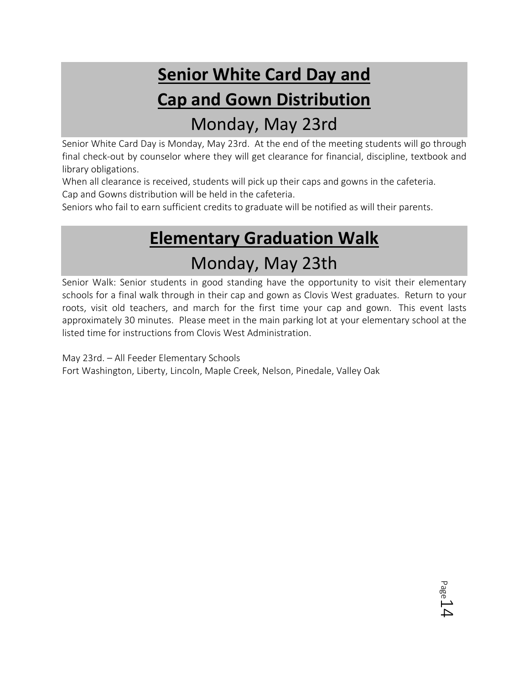# **Senior White Card Day and Cap and Gown Distribution** Monday, May 23rd

Senior White Card Day is Monday, May 23rd. At the end of the meeting students will go through final check-out by counselor where they will get clearance for financial, discipline, textbook and library obligations.

When all clearance is received, students will pick up their caps and gowns in the cafeteria. Cap and Gowns distribution will be held in the cafeteria.

Seniors who fail to earn sufficient credits to graduate will be notified as will their parents.

# **Elementary Graduation Walk** Monday, May 23th

Senior Walk: Senior students in good standing have the opportunity to visit their elementary schools for a final walk through in their cap and gown as Clovis West graduates. Return to your roots, visit old teachers, and march for the first time your cap and gown. This event lasts approximately 30 minutes. Please meet in the main parking lot at your elementary school at the listed time for instructions from Clovis West Administration.

May 23rd. – All Feeder Elementary Schools Fort Washington, Liberty, Lincoln, Maple Creek, Nelson, Pinedale, Valley Oak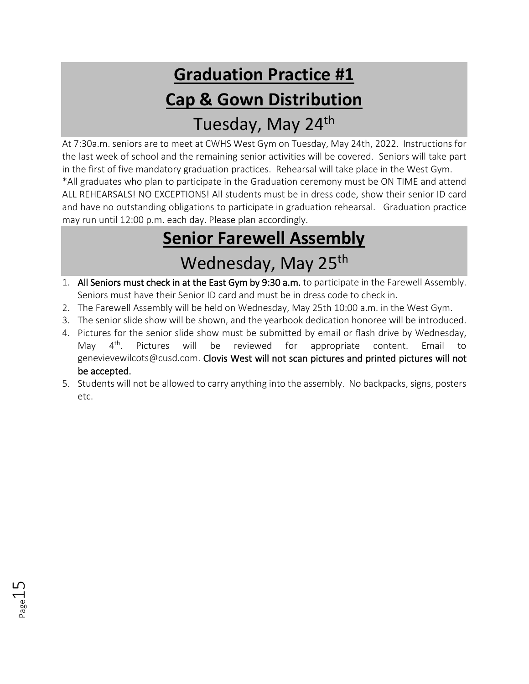# **Graduation Practice #1 Cap & Gown Distribution** Tuesday, May 24th

At 7:30a.m. seniors are to meet at CWHS West Gym on Tuesday, May 24th, 2022. Instructions for the last week of school and the remaining senior activities will be covered. Seniors will take part in the first of five mandatory graduation practices. Rehearsal will take place in the West Gym. \*All graduates who plan to participate in the Graduation ceremony must be ON TIME and attend ALL REHEARSALS! NO EXCEPTIONS! All students must be in dress code, show their senior ID card and have no outstanding obligations to participate in graduation rehearsal. Graduation practice may run until 12:00 p.m. each day. Please plan accordingly.

# **Senior Farewell Assembly** Wednesday, May 25<sup>th</sup>

- 1. All Seniors must check in at the East Gym by 9:30 a.m. to participate in the Farewell Assembly. Seniors must have their Senior ID card and must be in dress code to check in.
- 2. The Farewell Assembly will be held on Wednesday, May 25th 10:00 a.m. in the West Gym.
- 3. The senior slide show will be shown, and the yearbook dedication honoree will be introduced.
- 4. Pictures for the senior slide show must be submitted by email or flash drive by Wednesday, May 4<sup>th</sup>. Pictures will be reviewed for appropriate content. Email to genevievewilcots@cusd.com. Clovis West will not scan pictures and printed pictures will not be accepted.
- 5. Students will not be allowed to carry anything into the assembly. No backpacks, signs, posters etc.

Page15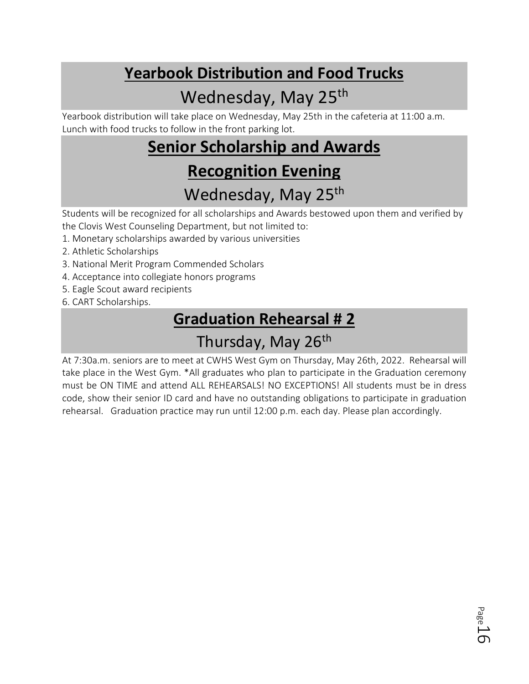## **Yearbook Distribution and Food Trucks**

## Wednesday, May 25<sup>th</sup>

Yearbook distribution will take place on Wednesday, May 25th in the cafeteria at 11:00 a.m. Lunch with food trucks to follow in the front parking lot.

## **Senior Scholarship and Awards Recognition Evening**

## Wednesday, May 25<sup>th</sup>

Students will be recognized for all scholarships and Awards bestowed upon them and verified by the Clovis West Counseling Department, but not limited to:

- 1. Monetary scholarships awarded by various universities
- 2. Athletic Scholarships
- 3. National Merit Program Commended Scholars
- 4. Acceptance into collegiate honors programs
- 5. Eagle Scout award recipients
- 6. CART Scholarships.

## **Graduation Rehearsal # 2**

## Thursday, May 26<sup>th</sup>

At 7:30a.m. seniors are to meet at CWHS West Gym on Thursday, May 26th, 2022. Rehearsal will take place in the West Gym. \*All graduates who plan to participate in the Graduation ceremony must be ON TIME and attend ALL REHEARSALS! NO EXCEPTIONS! All students must be in dress code, show their senior ID card and have no outstanding obligations to participate in graduation rehearsal. Graduation practice may run until 12:00 p.m. each day. Please plan accordingly.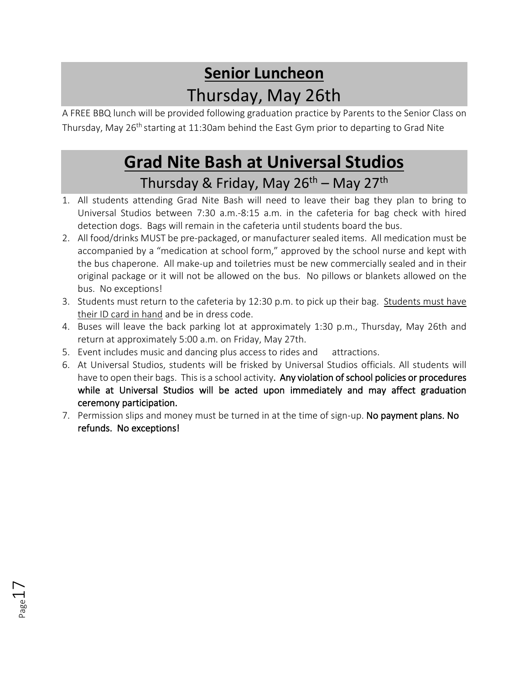## **Senior Luncheon** Thursday, May 26th

A FREE BBQ lunch will be provided following graduation practice by Parents to the Senior Class on Thursday, May 26<sup>th</sup> starting at 11:30am behind the East Gym prior to departing to Grad Nite

## **Grad Nite Bash at Universal Studios** Thursday & Friday, May 26<sup>th</sup> – May 27<sup>th</sup>

- 1. All students attending Grad Nite Bash will need to leave their bag they plan to bring to Universal Studios between 7:30 a.m.-8:15 a.m. in the cafeteria for bag check with hired detection dogs. Bags will remain in the cafeteria until students board the bus.
- 2. All food/drinks MUST be pre-packaged, or manufacturer sealed items. All medication must be accompanied by a "medication at school form," approved by the school nurse and kept with the bus chaperone. All make-up and toiletries must be new commercially sealed and in their original package or it will not be allowed on the bus. No pillows or blankets allowed on the bus. No exceptions!
- 3. Students must return to the cafeteria by 12:30 p.m. to pick up their bag. Students must have their ID card in hand and be in dress code.
- 4. Buses will leave the back parking lot at approximately 1:30 p.m., Thursday, May 26th and return at approximately 5:00 a.m. on Friday, May 27th.
- 5. Event includes music and dancing plus access to rides and attractions.
- 6. At Universal Studios, students will be frisked by Universal Studios officials. All students will have to open their bags. This is a school activity. Any violation of school policies or procedures while at Universal Studios will be acted upon immediately and may affect graduation ceremony participation.
- 7. Permission slips and money must be turned in at the time of sign-up. No payment plans. No refunds. No exceptions!

Page17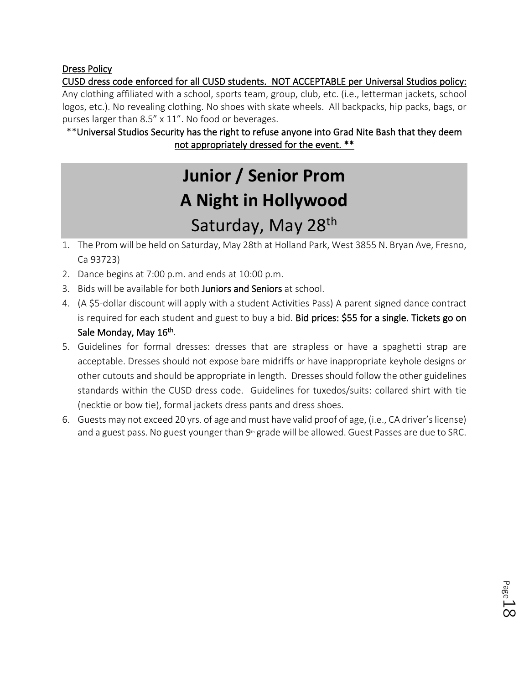#### Dress Policy

CUSD dress code enforced for all CUSD students. NOT ACCEPTABLE per Universal Studios policy: Any clothing affiliated with a school, sports team, group, club, etc. (i.e., letterman jackets, school logos, etc.). No revealing clothing. No shoes with skate wheels. All backpacks, hip packs, bags, or purses larger than 8.5" x 11". No food or beverages.

\*\*Universal Studios Security has the right to refuse anyone into Grad Nite Bash that they deem not appropriately dressed for the event. \*\*

# **Junior / Senior Prom A Night in Hollywood** Saturday, May 28<sup>th</sup>

- 1. The Prom will be held on Saturday, May 28th at Holland Park, West 3855 N. Bryan Ave, Fresno, Ca 93723)
- 2. Dance begins at 7:00 p.m. and ends at 10:00 p.m.
- 3. Bids will be available for both Juniors and Seniors at school.
- 4. (A \$5-dollar discount will apply with a student Activities Pass) A parent signed dance contract is required for each student and guest to buy a bid. Bid prices: \$55 for a single. Tickets go on Sale Monday, May 16<sup>th</sup>.
- 5. Guidelines for formal dresses: dresses that are strapless or have a spaghetti strap are acceptable. Dresses should not expose bare midriffs or have inappropriate keyhole designs or other cutouts and should be appropriate in length. Dresses should follow the other guidelines standards within the CUSD dress code. Guidelines for tuxedos/suits: collared shirt with tie (necktie or bow tie), formal jackets dress pants and dress shoes.
- 6. Guests may not exceed 20 yrs. of age and must have valid proof of age, (i.e., CA driver's license) and a guest pass. No guest younger than 9<sup>th</sup> grade will be allowed. Guest Passes are due to SRC.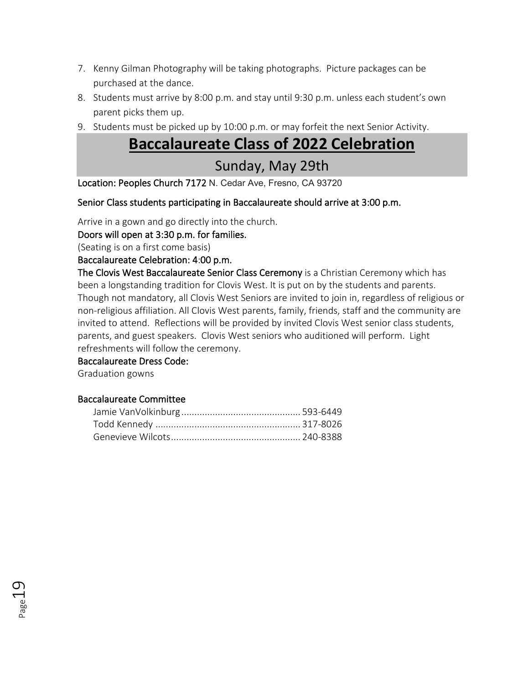- 7. Kenny Gilman Photography will be taking photographs. Picture packages can be purchased at the dance.
- 8. Students must arrive by 8:00 p.m. and stay until 9:30 p.m. unless each student's own parent picks them up.
- 9. Students must be picked up by 10:00 p.m. or may forfeit the next Senior Activity.

### **Baccalaureate Class of 2022 Celebration**

### Sunday, May 29th

Location: Peoples Church 7172 N. Cedar Ave, Fresno, CA 93720

Senior Class students participating in Baccalaureate should arrive at 3:00 p.m.

Arrive in a gown and go directly into the church.

Doors will open at 3:30 p.m. for families.

(Seating is on a first come basis)

Baccalaureate Celebration: 4:00 p.m.

The Clovis West Baccalaureate Senior Class Ceremony is a Christian Ceremony which has been a longstanding tradition for Clovis West. It is put on by the students and parents. Though not mandatory, all Clovis West Seniors are invited to join in, regardless of religious or non-religious affiliation. All Clovis West parents, family, friends, staff and the community are invited to attend. Reflections will be provided by invited Clovis West senior class students, parents, and guest speakers. Clovis West seniors who auditioned will perform. Light refreshments will follow the ceremony.

Baccalaureate Dress Code:

Graduation gowns

#### Baccalaureate Committee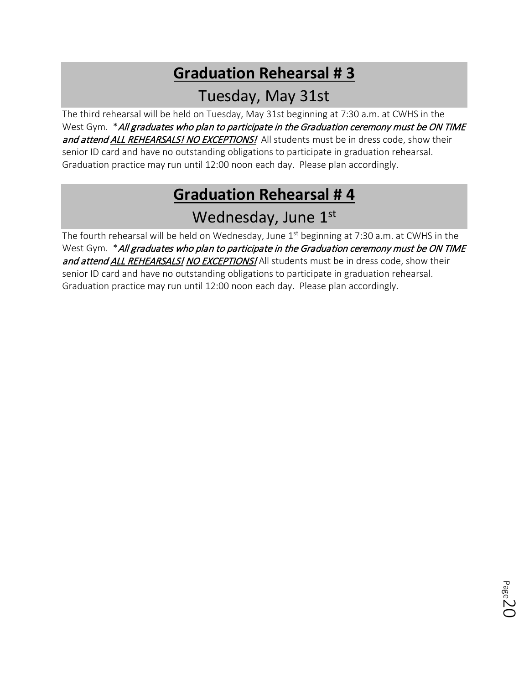## **Graduation Rehearsal # 3**

### Tuesday, May 31st

The third rehearsal will be held on Tuesday, May 31st beginning at 7:30 a.m. at CWHS in the West Gym. \* All graduates who plan to participate in the Graduation ceremony must be ON TIME and attend ALL REHEARSALS! NO EXCEPTIONS! All students must be in dress code, show their senior ID card and have no outstanding obligations to participate in graduation rehearsal. Graduation practice may run until 12:00 noon each day. Please plan accordingly.

### **Graduation Rehearsal # 4**

### Wednesday, June 1st

The fourth rehearsal will be held on Wednesday, June  $1<sup>st</sup>$  beginning at 7:30 a.m. at CWHS in the West Gym. \* All graduates who plan to participate in the Graduation ceremony must be ON TIME and attend ALL REHEARSALS! NO EXCEPTIONS! All students must be in dress code, show their senior ID card and have no outstanding obligations to participate in graduation rehearsal. Graduation practice may run until 12:00 noon each day. Please plan accordingly.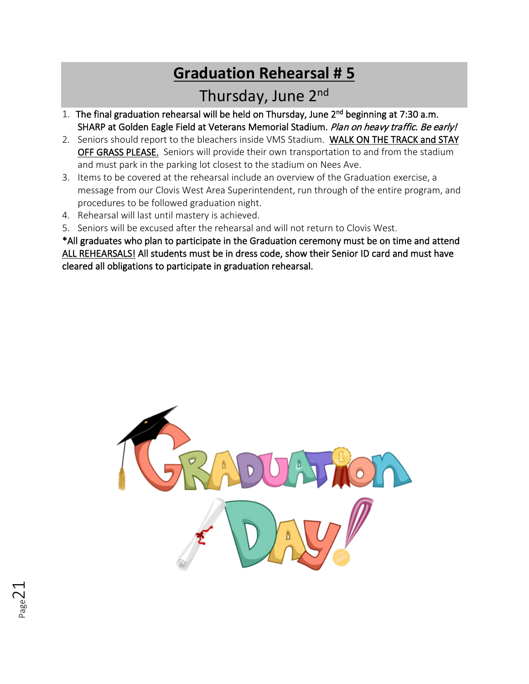## **Graduation Rehearsal # 5**

### Thursday, June 2nd

- 1. The final graduation rehearsal will be held on Thursday, June 2nd beginning at 7:30 a.m. SHARP at Golden Eagle Field at Veterans Memorial Stadium. Plan on heavy traffic. Be early!
- 2. Seniors should report to the bleachers inside VMS Stadium. WALK ON THE TRACK and STAY OFF GRASS PLEASE. Seniors will provide their own transportation to and from the stadium and must park in the parking lot closest to the stadium on Nees Ave.
- 3. Items to be covered at the rehearsal include an overview of the Graduation exercise, a message from our Clovis West Area Superintendent, run through of the entire program, and procedures to be followed graduation night.
- 4. Rehearsal will last until mastery is achieved.
- 5. Seniors will be excused after the rehearsal and will not return to Clovis West.

\*All graduates who plan to participate in the Graduation ceremony must be on time and attend ALL REHEARSALS! All students must be in dress code, show their Senior ID card and must have cleared all obligations to participate in graduation rehearsal.

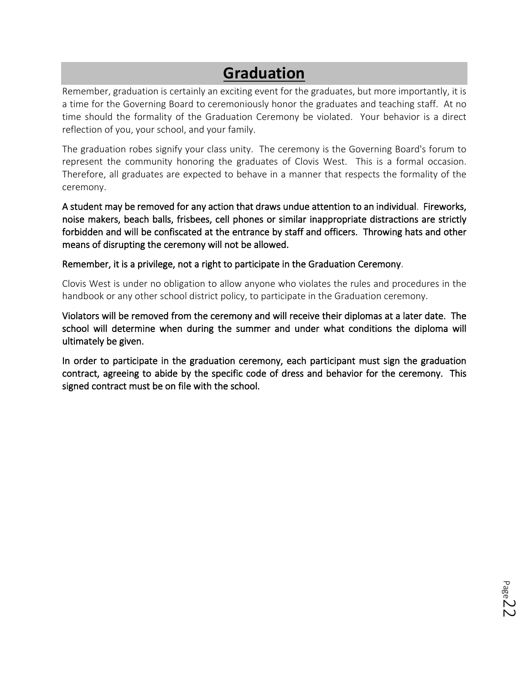### **Graduation**

Remember, graduation is certainly an exciting event for the graduates, but more importantly, it is a time for the Governing Board to ceremoniously honor the graduates and teaching staff. At no time should the formality of the Graduation Ceremony be violated. Your behavior is a direct reflection of you, your school, and your family.

The graduation robes signify your class unity. The ceremony is the Governing Board's forum to represent the community honoring the graduates of Clovis West. This is a formal occasion. Therefore, all graduates are expected to behave in a manner that respects the formality of the ceremony.

A student may be removed for any action that draws undue attention to an individual. Fireworks, noise makers, beach balls, frisbees, cell phones or similar inappropriate distractions are strictly forbidden and will be confiscated at the entrance by staff and officers. Throwing hats and other means of disrupting the ceremony will not be allowed.

Remember, it is a privilege, not a right to participate in the Graduation Ceremony.

Clovis West is under no obligation to allow anyone who violates the rules and procedures in the handbook or any other school district policy, to participate in the Graduation ceremony.

Violators will be removed from the ceremony and will receive their diplomas at a later date. The school will determine when during the summer and under what conditions the diploma will ultimately be given.

In order to participate in the graduation ceremony, each participant must sign the graduation contract, agreeing to abide by the specific code of dress and behavior for the ceremony. This signed contract must be on file with the school.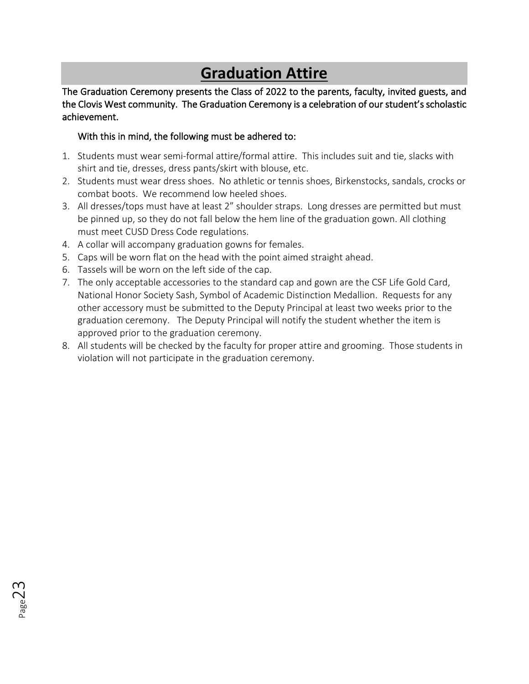### **Graduation Attire**

The Graduation Ceremony presents the Class of 2022 to the parents, faculty, invited guests, and the Clovis West community. The Graduation Ceremony is a celebration of our student's scholastic achievement.

#### With this in mind, the following must be adhered to:

- 1. Students must wear semi-formal attire/formal attire. This includes suit and tie, slacks with shirt and tie, dresses, dress pants/skirt with blouse, etc.
- 2. Students must wear dress shoes. No athletic or tennis shoes, Birkenstocks, sandals, crocks or combat boots. We recommend low heeled shoes.
- 3. All dresses/tops must have at least 2" shoulder straps. Long dresses are permitted but must be pinned up, so they do not fall below the hem line of the graduation gown. All clothing must meet CUSD Dress Code regulations.
- 4. A collar will accompany graduation gowns for females.
- 5. Caps will be worn flat on the head with the point aimed straight ahead.
- 6. Tassels will be worn on the left side of the cap.
- 7. The only acceptable accessories to the standard cap and gown are the CSF Life Gold Card, National Honor Society Sash, Symbol of Academic Distinction Medallion. Requests for any other accessory must be submitted to the Deputy Principal at least two weeks prior to the graduation ceremony. The Deputy Principal will notify the student whether the item is approved prior to the graduation ceremony.
- 8. All students will be checked by the faculty for proper attire and grooming. Those students in violation will not participate in the graduation ceremony.

Page23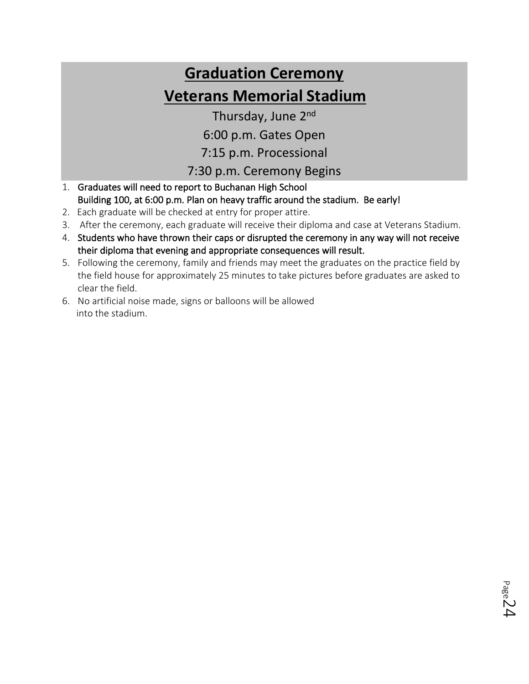# **Graduation Ceremony Veterans Memorial Stadium**

Thursday, June 2nd

6:00 p.m. Gates Open

7:15 p.m. Processional

### 7:30 p.m. Ceremony Begins

- 1. Graduates will need to report to Buchanan High School Building 100, at 6:00 p.m. Plan on heavy traffic around the stadium. Be early!
- 2. Each graduate will be checked at entry for proper attire.
- 3. After the ceremony, each graduate will receive their diploma and case at Veterans Stadium.
- 4. Students who have thrown their caps or disrupted the ceremony in any way will not receive their diploma that evening and appropriate consequences will result.
- 5. Following the ceremony, family and friends may meet the graduates on the practice field by the field house for approximately 25 minutes to take pictures before graduates are asked to clear the field.
- 6. No artificial noise made, signs or balloons will be allowed into the stadium.

Page 24